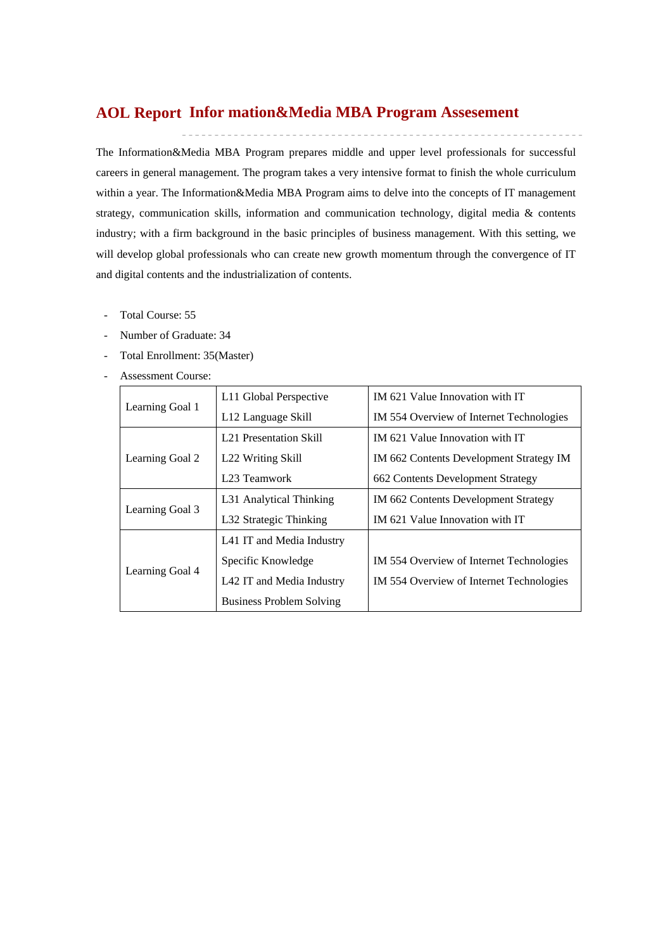# **Infor mation&Media MBA Program Assesement AOL Report**

The Information&Media MBA Program prepares middle and upper level professionals for successful careers in general management. The program takes a very intensive format to finish the whole curriculum within a year. The Information&Media MBA Program aims to delve into the concepts of IT management strategy, communication skills, information and communication technology, digital media & contents industry; with a firm background in the basic principles of business management. With this setting, we will develop global professionals who can create new growth momentum through the convergence of IT and digital contents and the industrialization of contents.

- Total Course: 55
- Number of Graduate: 34
- Total Enrollment: 35(Master)
- Assessment Course:

|                 | L11 Global Perspective          | IM 621 Value Innovation with IT          |  |  |
|-----------------|---------------------------------|------------------------------------------|--|--|
| Learning Goal 1 | L <sub>12</sub> Language Skill  | IM 554 Overview of Internet Technologies |  |  |
|                 | <b>L21</b> Presentation Skill   | IM 621 Value Innovation with IT          |  |  |
| Learning Goal 2 | L22 Writing Skill               | IM 662 Contents Development Strategy IM  |  |  |
|                 | L <sub>23</sub> Teamwork        | 662 Contents Development Strategy        |  |  |
|                 | L31 Analytical Thinking         | IM 662 Contents Development Strategy     |  |  |
| Learning Goal 3 | L32 Strategic Thinking          | IM 621 Value Innovation with IT          |  |  |
|                 | L41 IT and Media Industry       |                                          |  |  |
|                 | Specific Knowledge              | IM 554 Overview of Internet Technologies |  |  |
| Learning Goal 4 | L42 IT and Media Industry       | IM 554 Overview of Internet Technologies |  |  |
|                 | <b>Business Problem Solving</b> |                                          |  |  |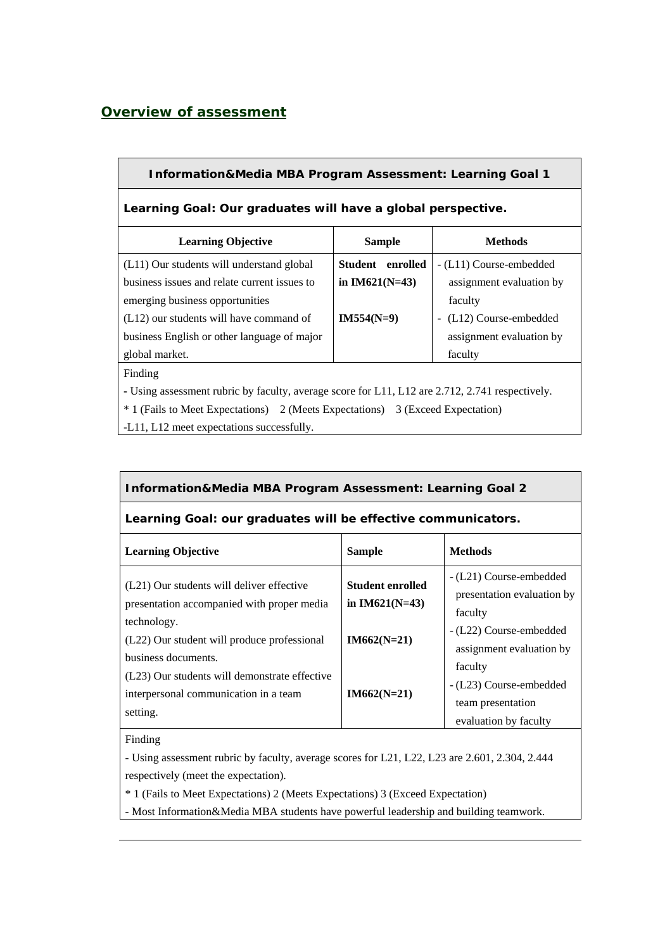# *Overview of assessment*

| <b>Information&amp;Media MBA Program Assessment: Learning Goal 1</b> |                  |                                         |  |  |  |  |  |
|----------------------------------------------------------------------|------------------|-----------------------------------------|--|--|--|--|--|
| Learning Goal: Our graduates will have a global perspective.         |                  |                                         |  |  |  |  |  |
| <b>Learning Objective</b>                                            | <b>Sample</b>    | <b>Methods</b>                          |  |  |  |  |  |
| (L11) Our students will understand global                            | Student enrolled | - (L11) Course-embedded                 |  |  |  |  |  |
| business issues and relate current issues to                         | in $IM621(N=43)$ | assignment evaluation by                |  |  |  |  |  |
| emerging business opportunities                                      |                  | faculty                                 |  |  |  |  |  |
| $(L12)$ our students will have command of                            | $IM554(N=9)$     | (L12) Course-embedded<br>$\blacksquare$ |  |  |  |  |  |
| business English or other language of major                          |                  | assignment evaluation by                |  |  |  |  |  |
| global market.                                                       |                  | faculty                                 |  |  |  |  |  |

Finding

**-** Using assessment rubric by faculty, average score for L11, L12 are 2.712, 2.741 respectively.

\* 1 (Fails to Meet Expectations) 2 (Meets Expectations) 3 (Exceed Expectation)

-L11, L12 meet expectations successfully.

### **Information&Media MBA Program Assessment: Learning Goal 2**

### **Learning Goal: our graduates will be effective communicators.**

| <b>Learning Objective</b>                                                                          | <b>Sample</b>                               | <b>Methods</b>                                                                   |
|----------------------------------------------------------------------------------------------------|---------------------------------------------|----------------------------------------------------------------------------------|
| (L21) Our students will deliver effective<br>presentation accompanied with proper media            | <b>Student enrolled</b><br>in $IM621(N=43)$ | - (L21) Course-embedded<br>presentation evaluation by<br>faculty                 |
| technology.<br>(L22) Our student will produce professional<br>business documents.                  | $IM662(N=21)$                               | - (L22) Course-embedded<br>assignment evaluation by                              |
| (L23) Our students will demonstrate effective<br>interpersonal communication in a team<br>setting. | $IM662(N=21)$                               | faculty<br>- (L23) Course-embedded<br>team presentation<br>evaluation by faculty |

### Finding

- Using assessment rubric by faculty, average scores for L21, L22, L23 are 2.601, 2.304, 2.444 respectively (meet the expectation).

\* 1 (Fails to Meet Expectations) 2 (Meets Expectations) 3 (Exceed Expectation)

- Most Information&Media MBA students have powerful leadership and building teamwork.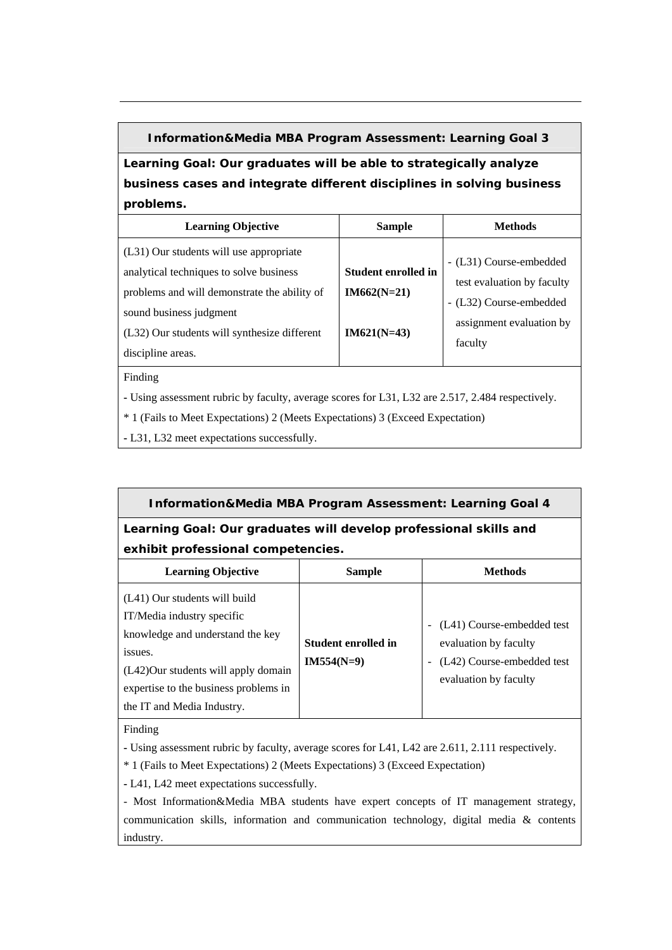### **Information&Media MBA Program Assessment: Learning Goal 3**

**Learning Goal: Our graduates will be able to strategically analyze business cases and integrate different disciplines in solving business problems.**

| <b>Learning Objective</b>                                                                                                                                                                                                          | <b>Sample</b>                                                | Methods                                                                                                                 |
|------------------------------------------------------------------------------------------------------------------------------------------------------------------------------------------------------------------------------------|--------------------------------------------------------------|-------------------------------------------------------------------------------------------------------------------------|
| (L31) Our students will use appropriate<br>analytical techniques to solve business<br>problems and will demonstrate the ability of<br>sound business judgment<br>(L32) Our students will synthesize different<br>discipline areas. | <b>Student enrolled in</b><br>$IM662(N=21)$<br>$IM621(N=43)$ | - (L31) Course-embedded<br>test evaluation by faculty<br>- (L32) Course-embedded<br>assignment evaluation by<br>faculty |

Finding

**-** Using assessment rubric by faculty, average scores for L31, L32 are 2.517, 2.484 respectively.

\* 1 (Fails to Meet Expectations) 2 (Meets Expectations) 3 (Exceed Expectation)

**-** L31, L32 meet expectations successfully.

## **Information&Media MBA Program Assessment: Learning Goal 4**

**Learning Goal: Our graduates will develop professional skills and exhibit professional competencies.** 

| <b>Learning Objective</b>                                                                                                                                                                                                | <b>Sample</b>                       | <b>Methods</b>                                                                                                                                  |
|--------------------------------------------------------------------------------------------------------------------------------------------------------------------------------------------------------------------------|-------------------------------------|-------------------------------------------------------------------------------------------------------------------------------------------------|
| (L41) Our students will build<br>IT/Media industry specific<br>knowledge and understand the key<br>issues.<br>(L42)Our students will apply domain<br>expertise to the business problems in<br>the IT and Media Industry. | Student enrolled in<br>$IM554(N=9)$ | (L41) Course-embedded test<br>$\qquad \qquad$<br>evaluation by faculty<br>(L42) Course-embedded test<br>$\overline{a}$<br>evaluation by faculty |

Finding

**-** Using assessment rubric by faculty, average scores for L41, L42 are 2.611, 2.111 respectively.

\* 1 (Fails to Meet Expectations) 2 (Meets Expectations) 3 (Exceed Expectation)

**-** L41, L42 meet expectations successfully.

- Most Information&Media MBA students have expert concepts of IT management strategy, communication skills, information and communication technology, digital media & contents industry.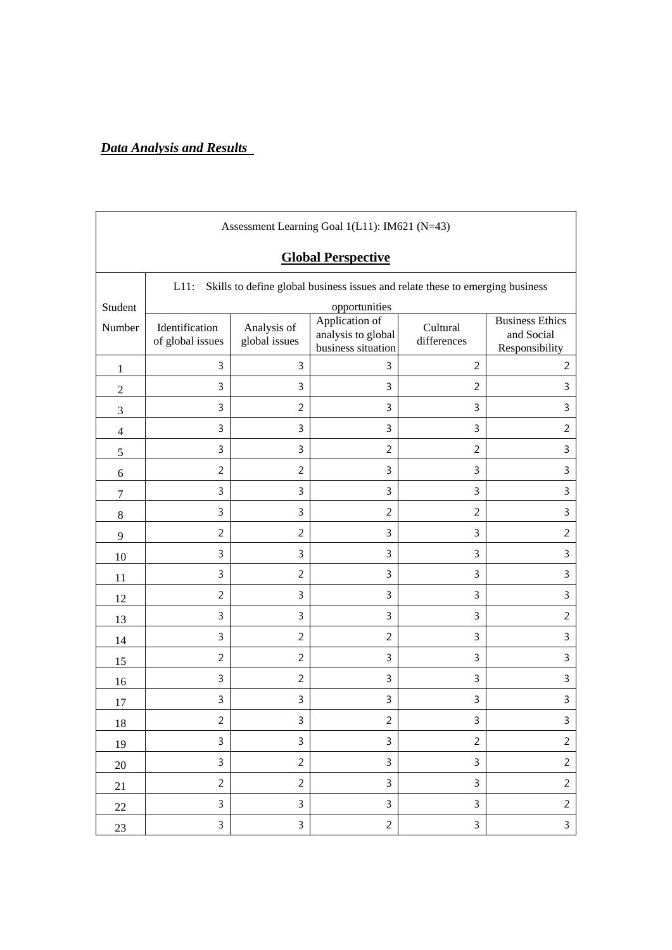# *Data Analysis and Results*

|                | Assessment Learning Goal 1(L11): IM621 (N=43)                                            |                              |                                                            |                         |                                                        |  |  |  |  |
|----------------|------------------------------------------------------------------------------------------|------------------------------|------------------------------------------------------------|-------------------------|--------------------------------------------------------|--|--|--|--|
|                | <b>Global Perspective</b>                                                                |                              |                                                            |                         |                                                        |  |  |  |  |
|                | $L11$ :<br>Skills to define global business issues and relate these to emerging business |                              |                                                            |                         |                                                        |  |  |  |  |
| Student        |                                                                                          |                              | opportunities                                              |                         |                                                        |  |  |  |  |
| Number         | Identification<br>of global issues                                                       | Analysis of<br>global issues | Application of<br>analysis to global<br>business situation | Cultural<br>differences | <b>Business Ethics</b><br>and Social<br>Responsibility |  |  |  |  |
| 1              | $\mathsf{3}$                                                                             | 3                            | 3                                                          | $\overline{2}$          | $\overline{2}$                                         |  |  |  |  |
| $\overline{2}$ | 3                                                                                        | 3                            | 3                                                          | 2                       | 3                                                      |  |  |  |  |
| $\mathfrak{Z}$ | 3                                                                                        | $\overline{2}$               | 3                                                          | 3                       | 3                                                      |  |  |  |  |
| $\overline{4}$ | $\mathsf{3}$                                                                             | 3                            | 3                                                          | 3                       | $\overline{2}$                                         |  |  |  |  |
| 5              | $\mathsf{3}$                                                                             | 3                            | 2                                                          | 2                       | 3                                                      |  |  |  |  |
| 6              | $\overline{2}$                                                                           | $\overline{2}$               | 3                                                          | 3                       | $\overline{3}$                                         |  |  |  |  |
| 7              | $\mathsf{3}$                                                                             | 3                            | 3                                                          | 3                       | 3                                                      |  |  |  |  |
| $\,8\,$        | $\overline{3}$                                                                           | 3                            | $\overline{2}$                                             | $\overline{2}$          | 3                                                      |  |  |  |  |
| 9              | $\overline{2}$                                                                           | $\overline{2}$               | 3                                                          | 3                       | $\overline{2}$                                         |  |  |  |  |
| 10             | 3                                                                                        | 3                            | 3                                                          | 3                       | 3                                                      |  |  |  |  |
| 11             | $\mathsf{3}$                                                                             | $\overline{2}$               | 3                                                          | 3                       | 3                                                      |  |  |  |  |
| 12             | $\overline{2}$                                                                           | 3                            | 3                                                          | 3                       | 3                                                      |  |  |  |  |
| 13             | 3                                                                                        | 3                            | 3                                                          | 3                       | $\overline{2}$                                         |  |  |  |  |
| 14             | 3                                                                                        | $\overline{2}$               | $\overline{2}$                                             | 3                       | 3                                                      |  |  |  |  |
| 15             | $\overline{2}$                                                                           | 2                            | 3                                                          | 3                       | 3                                                      |  |  |  |  |
| 16             | 3                                                                                        | $\overline{2}$               | 3                                                          | 3                       | 3                                                      |  |  |  |  |
| 17             | $\mathsf{3}$                                                                             | 3                            | 3                                                          | 3                       | 3                                                      |  |  |  |  |
| $18\,$         | $\overline{\mathbf{c}}$                                                                  | 3                            | 2                                                          | 3                       | 3                                                      |  |  |  |  |
| 19             | $\mathsf{3}$                                                                             | $\mathsf{3}$                 | $\mathsf{3}$                                               | $\overline{2}$          | $\overline{2}$                                         |  |  |  |  |
| $20\,$         | $\mathbf{3}$                                                                             | $\overline{2}$               | $\mathbf{3}$                                               | $\mathbf{3}$            | $\overline{2}$                                         |  |  |  |  |
| 21             | $\overline{2}$                                                                           | $\overline{2}$               | 3                                                          | $\mathbf{3}$            | $\overline{2}$                                         |  |  |  |  |
| $22\,$         | $\mathbf{3}$                                                                             | $\mathsf{3}$                 | $\mathbf{3}$                                               | 3                       | $\overline{2}$                                         |  |  |  |  |
| 23             | 3                                                                                        | $\mathbf{3}$                 | $\overline{2}$                                             | 3                       | $\mathbf{3}$                                           |  |  |  |  |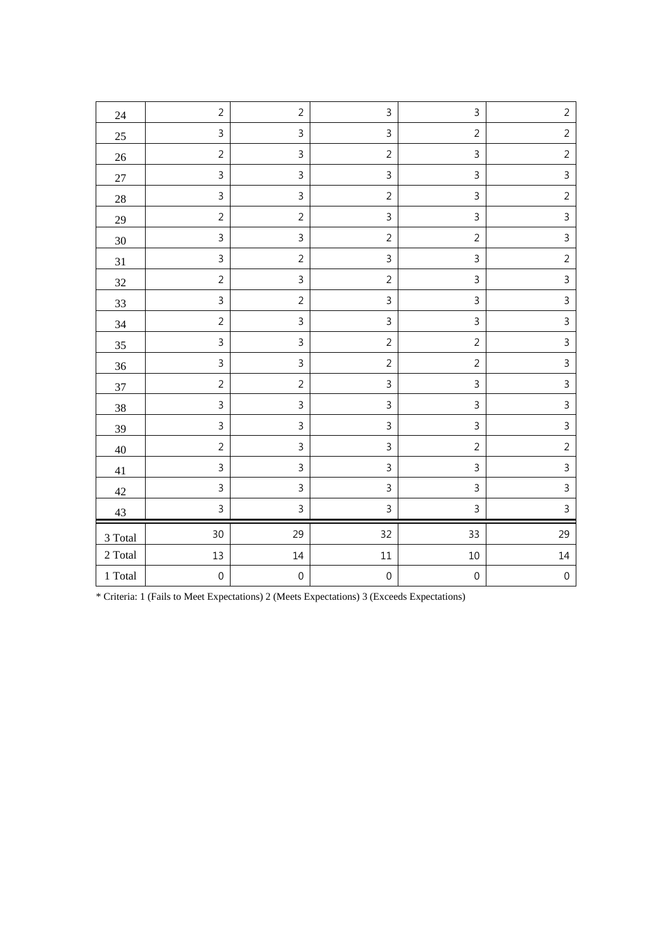| 24                  | $\overline{2}$ | $\overline{2}$   | $\mathsf 3$               | 3              | $\overline{2}$   |
|---------------------|----------------|------------------|---------------------------|----------------|------------------|
| 25                  | 3              | 3                | $\mathsf{3}$              | $\overline{2}$ | $\overline{2}$   |
| $26\,$              | $\overline{2}$ | 3                | $\overline{2}$            | $\mathsf{3}$   | $\overline{2}$   |
| $27\,$              | $\mathsf 3$    | $\overline{3}$   | $\mathsf{3}$              | 3              | $\overline{3}$   |
| $28\,$              | $\mathsf{3}$   | $\overline{3}$   | $\overline{2}$            | $\overline{3}$ | $\overline{2}$   |
| 29                  | $\overline{2}$ | $\overline{2}$   | $\mathsf{3}$              | 3              | $\overline{3}$   |
| $30\,$              | $\mathsf{3}$   | $\overline{3}$   | $\overline{2}$            | $\overline{2}$ | $\overline{3}$   |
| 31                  | $\mathsf{3}$   | $\overline{2}$   | $\mathsf{3}$              | $\overline{3}$ | $\overline{2}$   |
| $32\,$              | $\overline{2}$ | $\overline{3}$   | $\sqrt{2}$                | $\overline{3}$ | $\overline{3}$   |
| 33                  | 3              | $\overline{2}$   | $\mathsf 3$               | $\overline{3}$ | $\overline{3}$   |
| 34                  | $\overline{2}$ | 3                | $\mathsf 3$               | 3              | $\mathsf{3}$     |
| $35\,$              | $\overline{3}$ | 3                | $\overline{2}$            | $\overline{2}$ | $\mathsf{3}$     |
| 36                  | $\mathsf{3}$   | $\overline{3}$   | $\overline{2}$            | $\overline{2}$ | $\overline{3}$   |
| 37                  | $\sqrt{2}$     | $\overline{2}$   | $\mathsf{3}$              | $\overline{3}$ | $\overline{3}$   |
| 38                  | $\mathsf{3}$   | $\overline{3}$   | $\mathsf{3}$              | $\overline{3}$ | $\overline{3}$   |
| 39                  | $\mathsf 3$    | 3                | $\ensuremath{\mathsf{3}}$ | $\mathsf 3$    | $\overline{3}$   |
| $40\,$              | $\overline{2}$ | 3                | $\mathsf 3$               | $\overline{2}$ | $\overline{2}$   |
| 41                  | $\mathsf{3}$   | $\overline{3}$   | $\mathsf{3}$              | 3              | $\overline{3}$   |
| $42\,$              | $\overline{3}$ | $\overline{3}$   | $\mathsf{3}$              | $\overline{3}$ | $\overline{3}$   |
| 43                  | $\overline{3}$ | $\mathsf{3}$     | $\overline{3}$            | $\overline{3}$ | $\overline{3}$   |
| 3 Total             | 30             | 29               | 32                        | 33             | 29               |
| $2\ \mathrm{Total}$ | 13             | $14\,$           | $11\,$                    | $10\,$         | 14               |
| $1\ \mathrm{Total}$ | $\mbox{O}$     | $\boldsymbol{0}$ | $\mbox{O}$                | $\mbox{O}$     | $\boldsymbol{0}$ |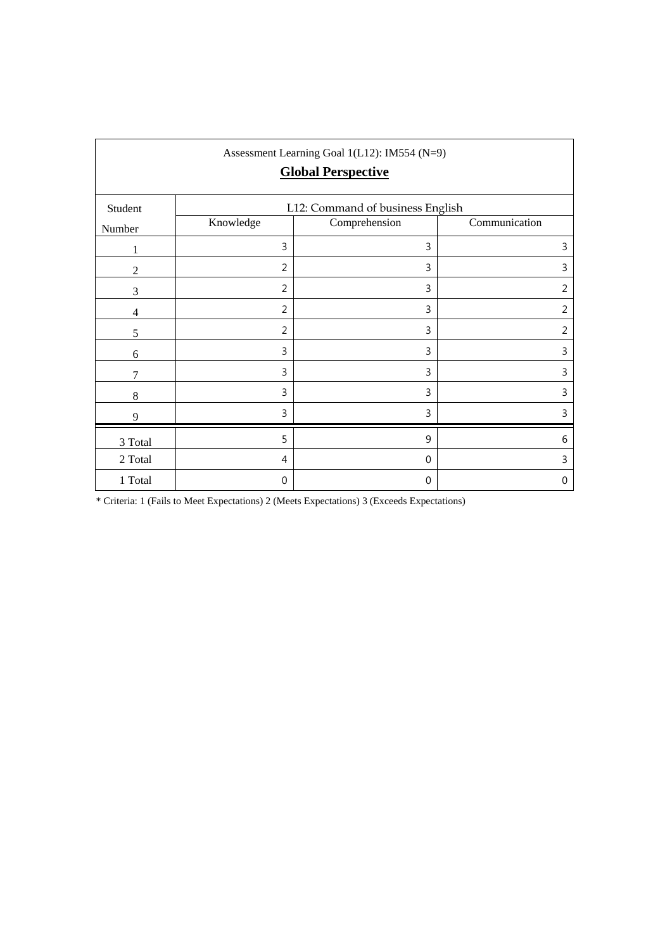| Assessment Learning Goal 1(L12): IM554 (N=9)<br><b>Global Perspective</b> |                |                                                   |                |  |  |  |  |
|---------------------------------------------------------------------------|----------------|---------------------------------------------------|----------------|--|--|--|--|
| Student                                                                   | Knowledge      | L12: Command of business English<br>Comprehension | Communication  |  |  |  |  |
| Number                                                                    |                |                                                   |                |  |  |  |  |
| 1                                                                         | 3              | 3                                                 | 3              |  |  |  |  |
| $\overline{2}$                                                            | 2              | 3                                                 | 3              |  |  |  |  |
| 3                                                                         | $\overline{2}$ | 3                                                 | $\overline{2}$ |  |  |  |  |
| $\overline{4}$                                                            | $\overline{2}$ | 3                                                 | $\overline{2}$ |  |  |  |  |
| 5                                                                         | $\overline{2}$ | 3                                                 | $\overline{2}$ |  |  |  |  |
| 6                                                                         | 3              | 3                                                 | 3              |  |  |  |  |
| 7                                                                         | 3              | 3                                                 | 3              |  |  |  |  |
| 8                                                                         | 3              | 3                                                 | 3              |  |  |  |  |
| 9                                                                         | 3              | 3                                                 | 3              |  |  |  |  |
| $3$ Total $\,$                                                            | 5              | 9                                                 | 6              |  |  |  |  |
| 2 Total                                                                   | $\overline{4}$ | $\mathbf 0$                                       | 3              |  |  |  |  |
| 1 Total                                                                   | 0              | $\mathbf 0$                                       | 0              |  |  |  |  |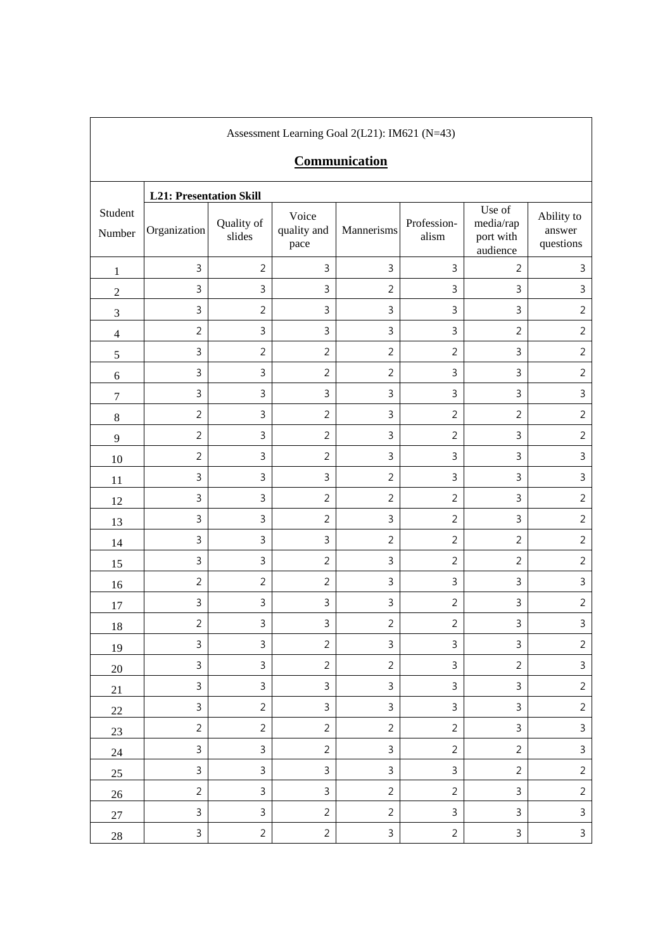| Assessment Learning Goal 2(L21): IM621 (N=43) |                                |                      |                              |                |                           |                                              |                                   |  |  |
|-----------------------------------------------|--------------------------------|----------------------|------------------------------|----------------|---------------------------|----------------------------------------------|-----------------------------------|--|--|
|                                               | Communication                  |                      |                              |                |                           |                                              |                                   |  |  |
|                                               | <b>L21: Presentation Skill</b> |                      |                              |                |                           |                                              |                                   |  |  |
| Student<br>Number                             | Organization                   | Quality of<br>slides | Voice<br>quality and<br>pace | Mannerisms     | Profession-<br>alism      | Use of<br>media/rap<br>port with<br>audience | Ability to<br>answer<br>questions |  |  |
| $\mathbf{1}$                                  | $\mathsf 3$                    | $\overline{2}$       | 3                            | 3              | $\mathsf 3$               | $\overline{2}$                               | $\mathsf 3$                       |  |  |
| $\sqrt{2}$                                    | $\mathsf 3$                    | $\mathbf{3}$         | 3                            | $\overline{2}$ | $\mathsf 3$               | $\mathbf{3}$                                 | $\mathsf 3$                       |  |  |
| $\mathfrak{Z}$                                | $\mathsf 3$                    | $\overline{2}$       | $\mathbf{3}$                 | 3              | $\mathsf{3}$              | $\mathsf 3$                                  | $\sqrt{2}$                        |  |  |
| $\overline{4}$                                | $\overline{2}$                 | $\overline{3}$       | 3                            | 3              | $\mathsf 3$               | $\overline{2}$                               | $\overline{2}$                    |  |  |
| 5                                             | $\mathsf{3}$                   | $\overline{2}$       | $\overline{2}$               | $\overline{2}$ | $\overline{2}$            | $\mathbf{3}$                                 | $\overline{2}$                    |  |  |
| 6                                             | $\mathsf 3$                    | $\mathsf{3}$         | $\overline{2}$               | $\overline{2}$ | $\mathsf 3$               | $\mathsf 3$                                  | $\overline{2}$                    |  |  |
| $\boldsymbol{7}$                              | $\mathsf{3}$                   | $\mathsf{3}$         | 3                            | 3              | 3                         | $\mathsf{3}$                                 | $\mathsf 3$                       |  |  |
| $8\,$                                         | $\overline{2}$                 | $\mathsf{3}$         | $\overline{2}$               | 3              | $\overline{2}$            | $\overline{2}$                               | $\sqrt{2}$                        |  |  |
| $\overline{9}$                                | $\overline{2}$                 | $\mathsf{3}$         | $\overline{2}$               | 3              | $\overline{2}$            | $\mathbf{3}$                                 | $\overline{2}$                    |  |  |
| 10                                            | $\overline{2}$                 | $\mathsf{3}$         | $\overline{2}$               | 3              | $\mathsf 3$               | $\mathbf{3}$                                 | $\overline{3}$                    |  |  |
| 11                                            | 3                              | $\mathsf 3$          | $\mathbf{3}$                 | $\overline{2}$ | $\mathsf 3$               | $\mathsf 3$                                  | $\mathsf 3$                       |  |  |
| 12                                            | $\mathsf 3$                    | $\mathbf{3}$         | $\overline{2}$               | $\overline{2}$ | $\overline{2}$            | $\mathsf{3}$                                 | $\overline{2}$                    |  |  |
| 13                                            | $\mathsf 3$                    | $\mathsf{3}$         | $\overline{2}$               | 3              | $\overline{2}$            | $\mathsf 3$                                  | $\overline{2}$                    |  |  |
| 14                                            | $\mathsf 3$                    | $\mathsf 3$          | $\overline{3}$               | $\overline{2}$ | $\overline{2}$            | $\overline{2}$                               | $\overline{2}$                    |  |  |
| 15                                            | $\mathsf{3}$                   | $\mathbf{3}$         | $\overline{2}$               | 3              | $\overline{2}$            | $\overline{2}$                               | $\overline{2}$                    |  |  |
| 16                                            | $\overline{2}$                 | $\overline{2}$       | $\overline{2}$               | 3              | $\mathsf 3$               | $\mathbf{3}$                                 | $\mathsf 3$                       |  |  |
| 17                                            | $\ensuremath{\mathsf{3}}$      | $\mathsf{3}$         | $\mathbf{3}$                 | 3              | $\overline{2}$            | $\mathsf 3$                                  | $\overline{2}$                    |  |  |
| 18                                            | $\sqrt{2}$                     | $\mathsf{3}$         | 3                            | $\overline{c}$ | $\sqrt{2}$                | $\mathsf{3}$                                 | $\mathsf{3}$                      |  |  |
| 19                                            | $\mathbf{3}$                   | $\mathsf{3}$         | $\overline{2}$               | $\mathbf{3}$   | $\mathbf{3}$              | $\mathbf{3}$                                 | $\overline{2}$                    |  |  |
| 20                                            | $\mathbf{3}$                   | $\mathsf{3}$         | $\overline{2}$               | $\overline{2}$ | $\mathbf{3}$              | $\overline{2}$                               | $\mathsf{3}$                      |  |  |
| 21                                            | $\mathbf{3}$                   | $\mathbf{3}$         | $\mathbf{3}$                 | $\mathbf{3}$   | $\mathbf{3}$              | $\mathbf{3}$                                 | $\overline{2}$                    |  |  |
| 22                                            | $\mathbf{3}$                   | $\overline{2}$       | $\mathbf{3}$                 | $\mathsf{3}$   | $\mathbf{3}$              | $\mathbf{3}$                                 | $\sqrt{2}$                        |  |  |
| 23                                            | $\overline{2}$                 | $\overline{2}$       | $\overline{2}$               | $\overline{2}$ | $\overline{2}$            | $\mathbf{3}$                                 | $\mathfrak{Z}$                    |  |  |
| 24                                            | $\mathbf{3}$                   | $\mathsf{3}$         | $\overline{2}$               | $\mathsf{3}$   | $\overline{2}$            | $\overline{2}$                               | $\mathfrak{Z}$                    |  |  |
| 25                                            | $\mathsf{3}$                   | $\mathsf{3}$         | $\mathsf{3}$                 | $\mathsf{3}$   | $\mathsf 3$               | $\overline{2}$                               | $\sqrt{2}$                        |  |  |
| 26                                            | $\overline{2}$                 | $\mathsf{3}$         | $\mathsf{3}$                 | $\overline{2}$ | $\overline{2}$            | $\mathbf{3}$                                 | $\sqrt{2}$                        |  |  |
| 27                                            | $\mathsf{3}$                   | $\mathbf{3}$         | $\overline{2}$               | $\overline{2}$ | $\ensuremath{\mathsf{3}}$ | $\mathbf{3}$                                 | $\mathsf{3}$                      |  |  |
| $28\,$                                        | $\mathsf{3}$                   | $\overline{2}$       | $\overline{2}$               | $\mathbf{3}$   | $\sqrt{2}$                | $\mathsf 3$                                  | $\mathsf{3}$                      |  |  |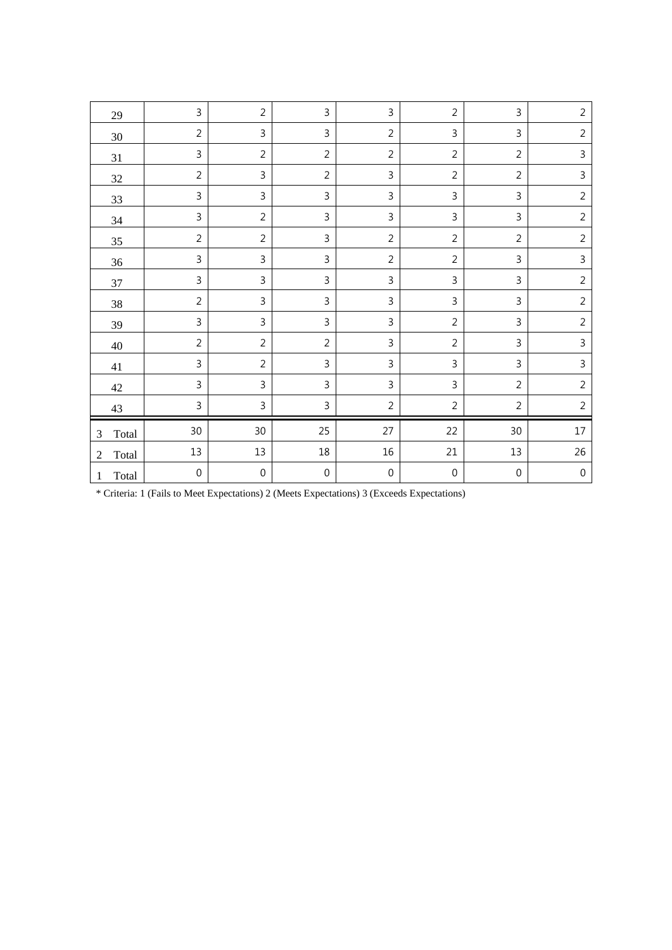|                         | 3                | $\overline{2}$   | 3                | $\mathsf{3}$     | $\overline{2}$   | 3                | $\overline{2}$   |
|-------------------------|------------------|------------------|------------------|------------------|------------------|------------------|------------------|
| 29                      |                  |                  |                  |                  |                  |                  |                  |
| $30\,$                  | $\overline{2}$   | 3                | 3                | $\overline{2}$   | 3                | 3                | $\overline{2}$   |
| 31                      | 3                | $\overline{2}$   | $\overline{2}$   | $\overline{2}$   | $\overline{2}$   | $\overline{2}$   | 3                |
| 32                      | $\overline{2}$   | $\mathsf{3}$     | $\overline{2}$   | $\overline{3}$   | $\overline{2}$   | $\overline{2}$   | 3                |
| 33                      | $\overline{3}$   | $\mathsf{3}$     | 3                | $\mathsf{3}$     | 3                | 3                | $\overline{2}$   |
| 34                      | 3                | $\overline{2}$   | 3                | $\mathsf{3}$     | 3                | 3                | $\overline{2}$   |
| 35                      | $\overline{2}$   | $\overline{2}$   | 3                | $\overline{2}$   | $\overline{2}$   | $\overline{2}$   | $\overline{2}$   |
| 36                      | 3                | $\mathbf{3}$     | 3                | $\overline{2}$   | $\overline{2}$   | 3                | 3                |
| 37                      | 3                | 3                | 3                | $\mathsf{3}$     | 3                | 3                | $\overline{2}$   |
| 38                      | $\overline{2}$   | 3                | 3                | $\mathsf{3}$     | 3                | 3                | $\overline{2}$   |
| 39                      | 3                | 3                | 3                | $\mathsf{3}$     | $\overline{2}$   | 3                | $\overline{2}$   |
| 40                      | $\overline{c}$   | $\overline{2}$   | $\overline{2}$   | $\mathsf{3}$     | $\overline{2}$   | 3                | 3                |
| 41                      | 3                | $\overline{2}$   | $\mathbf{3}$     | $\mathsf 3$      | 3                | 3                | 3                |
| 42                      | 3                | 3                | 3                | $\overline{3}$   | $\overline{3}$   | $\overline{2}$   | $\overline{2}$   |
| 43                      | 3                | 3                | $\mathsf 3$      | $\sqrt{2}$       | $\overline{2}$   | $\overline{2}$   | $\overline{2}$   |
| Total<br>3              | 30               | 30               | 25               | 27               | 22               | $30\,$           | $17\,$           |
| Total<br>$\overline{2}$ | 13               | 13               | $18\,$           | 16               | 21               | 13               | 26               |
| Total<br>1              | $\boldsymbol{0}$ | $\boldsymbol{0}$ | $\boldsymbol{0}$ | $\boldsymbol{0}$ | $\boldsymbol{0}$ | $\boldsymbol{0}$ | $\boldsymbol{0}$ |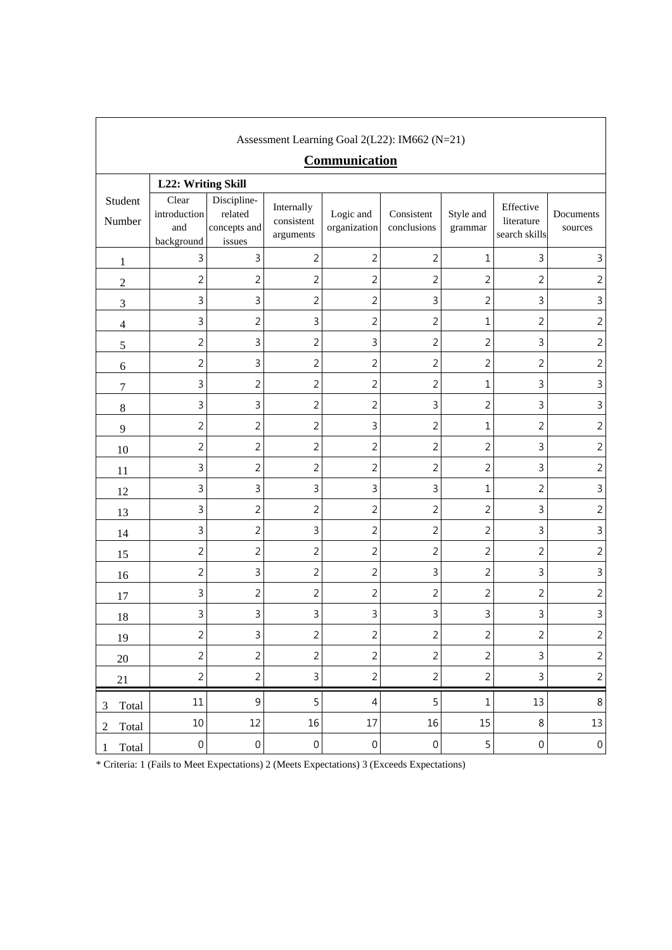| Assessment Learning Goal 2(L22): IM662 (N=21)<br>Communication |                                            |                                                  |                                       |                           |                           |                      |                                          |                      |
|----------------------------------------------------------------|--------------------------------------------|--------------------------------------------------|---------------------------------------|---------------------------|---------------------------|----------------------|------------------------------------------|----------------------|
|                                                                | L22: Writing Skill                         |                                                  |                                       |                           |                           |                      |                                          |                      |
| Student<br>Number                                              | Clear<br>introduction<br>and<br>background | Discipline-<br>related<br>concepts and<br>issues | Internally<br>consistent<br>arguments | Logic and<br>organization | Consistent<br>conclusions | Style and<br>grammar | Effective<br>literature<br>search skills | Documents<br>sources |
| $\mathbf{1}$                                                   | 3                                          | 3                                                | $\overline{c}$                        | $\overline{2}$            | $\overline{2}$            | $\mathbf 1$          | 3                                        | 3                    |
| $\sqrt{2}$                                                     | $\overline{2}$                             | $\overline{2}$                                   | $\overline{c}$                        | $\overline{c}$            | $\overline{2}$            | $\overline{2}$       | $\overline{2}$                           | $\overline{2}$       |
| 3                                                              | 3                                          | 3                                                | $\overline{c}$                        | $\overline{c}$            | 3                         | $\sqrt{2}$           | 3                                        | $\mathbf{3}$         |
| $\overline{4}$                                                 | 3                                          | $\overline{2}$                                   | 3                                     | $\overline{2}$            | $\overline{2}$            | $\mathbf 1$          | $\overline{2}$                           | $\overline{2}$       |
| 5                                                              | $\overline{c}$                             | 3                                                | $\overline{c}$                        | 3                         | $\overline{c}$            | $\overline{2}$       | 3                                        | $\overline{2}$       |
| 6                                                              | $\overline{2}$                             | 3                                                | $\overline{2}$                        | $\overline{2}$            | $\overline{2}$            | $\overline{2}$       | $\overline{2}$                           | $\overline{2}$       |
| $\boldsymbol{7}$                                               | 3                                          | $\overline{c}$                                   | $\overline{c}$                        | $\overline{2}$            | $\overline{2}$            | $\mathbf{1}$         | 3                                        | $\mathsf 3$          |
| $8\,$                                                          | 3                                          | 3                                                | $\overline{c}$                        | $\overline{2}$            | 3                         | $\overline{2}$       | 3                                        | $\mathsf{3}$         |
| 9                                                              | $\overline{2}$                             | $\overline{2}$                                   | $\overline{c}$                        | 3                         | $\overline{2}$            | $\mathbf 1$          | $\overline{2}$                           | $\overline{c}$       |
| 10                                                             | 2                                          | $\overline{c}$                                   | $\overline{c}$                        | $\overline{2}$            | $\overline{2}$            | $\overline{2}$       | 3                                        | $\overline{2}$       |
| 11                                                             | 3                                          | $\overline{2}$                                   | $\overline{c}$                        | $\overline{2}$            | $\overline{2}$            | $\overline{2}$       | 3                                        | $\overline{2}$       |
| 12                                                             | 3                                          | 3                                                | 3                                     | 3                         | 3                         | $\mathbf 1$          | $\overline{2}$                           | $\mathsf{3}$         |
| 13                                                             | 3                                          | $\overline{c}$                                   | $\overline{c}$                        | $\overline{2}$            | $\overline{2}$            | $\overline{2}$       | 3                                        | $\overline{2}$       |
| 14                                                             | 3                                          | 2                                                | 3                                     | $\overline{c}$            | $\overline{2}$            | $\overline{2}$       | 3                                        | $\mathbf{3}$         |
| 15                                                             | 2                                          | 2                                                | $\overline{c}$                        | $\overline{2}$            | $\overline{2}$            | $\overline{2}$       | $\overline{2}$                           | $\overline{2}$       |
| 16                                                             | $\overline{2}$                             | 3                                                | $\overline{c}$                        | $\overline{2}$            | 3                         | $\overline{2}$       | 3                                        | $\mathsf 3$          |
| 17                                                             | 3                                          | $\overline{2}$                                   | $\overline{2}$                        | $\overline{2}$            | $\overline{2}$            | $\overline{2}$       | $\overline{2}$                           | $\overline{2}$       |
| 18                                                             | 3                                          | 3                                                | 3                                     | 3                         | 3                         | 3                    | 3                                        | 3                    |
| 19                                                             | $\overline{2}$                             | 3                                                | $\overline{c}$                        | $\overline{2}$            | $\overline{2}$            | $\overline{2}$       | $\overline{2}$                           | $\overline{2}$       |
| 20                                                             | $\overline{2}$                             | $\overline{2}$                                   | $\overline{c}$                        | $\overline{2}$            | $\overline{2}$            | $\overline{2}$       | 3                                        | $\overline{c}$       |
| 21                                                             | $\overline{2}$                             | $\overline{c}$                                   | 3                                     | $\overline{2}$            | $\overline{2}$            | $\sqrt{2}$           | 3                                        | $\sqrt{2}$           |
| Total<br>3                                                     | $11\,$                                     | $\mathsf 9$                                      | 5                                     | $\overline{4}$            | 5                         | $\mathbf 1$          | 13                                       | $\,8\,$              |
| Total<br>2                                                     | 10                                         | 12                                               | 16                                    | 17                        | 16                        | 15                   | 8                                        | 13                   |
| Total<br>1                                                     | $\boldsymbol{0}$                           | $\boldsymbol{0}$                                 | $\boldsymbol{0}$                      | $\boldsymbol{0}$          | $\boldsymbol{0}$          | 5                    | $\boldsymbol{0}$                         | $\boldsymbol{0}$     |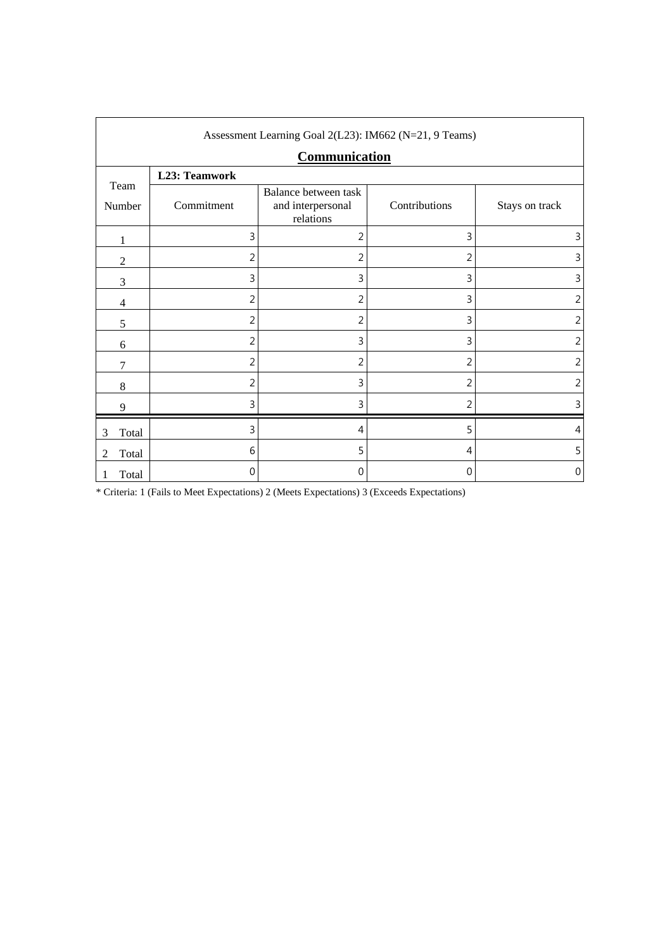| Assessment Learning Goal 2(L23): IM662 (N=21, 9 Teams) |                      |                                                        |                |                |  |  |  |  |
|--------------------------------------------------------|----------------------|--------------------------------------------------------|----------------|----------------|--|--|--|--|
|                                                        | <b>Communication</b> |                                                        |                |                |  |  |  |  |
|                                                        | L23: Teamwork        |                                                        |                |                |  |  |  |  |
| Team<br>Number                                         | Commitment           | Balance between task<br>and interpersonal<br>relations | Contributions  | Stays on track |  |  |  |  |
| 1                                                      | 3                    | 2                                                      | 3              | 3              |  |  |  |  |
| $\overline{2}$                                         | $\overline{2}$       | 2                                                      | $\overline{2}$ | 3              |  |  |  |  |
| 3                                                      | 3                    | 3                                                      | 3              | 3              |  |  |  |  |
| 4                                                      | $\overline{2}$       | 2                                                      | 3              | $\overline{2}$ |  |  |  |  |
| 5                                                      | 2                    | $\overline{2}$                                         | 3              | 2              |  |  |  |  |
| 6                                                      | $\overline{2}$       | 3                                                      | 3              | 2              |  |  |  |  |
| 7                                                      | $\overline{2}$       | 2                                                      | 2              | 2              |  |  |  |  |
| 8                                                      | $\overline{2}$       | 3                                                      | 2              | 2              |  |  |  |  |
| 9                                                      | 3                    | 3                                                      | 2              | 3              |  |  |  |  |
| Total<br>3                                             | 3                    | 4                                                      | 5              | 4              |  |  |  |  |
| Total<br>2                                             | 6                    | 5                                                      | 4              | 5              |  |  |  |  |
| Total                                                  | $\mathbf{0}$         | $\mathbf 0$                                            | 0              | 0              |  |  |  |  |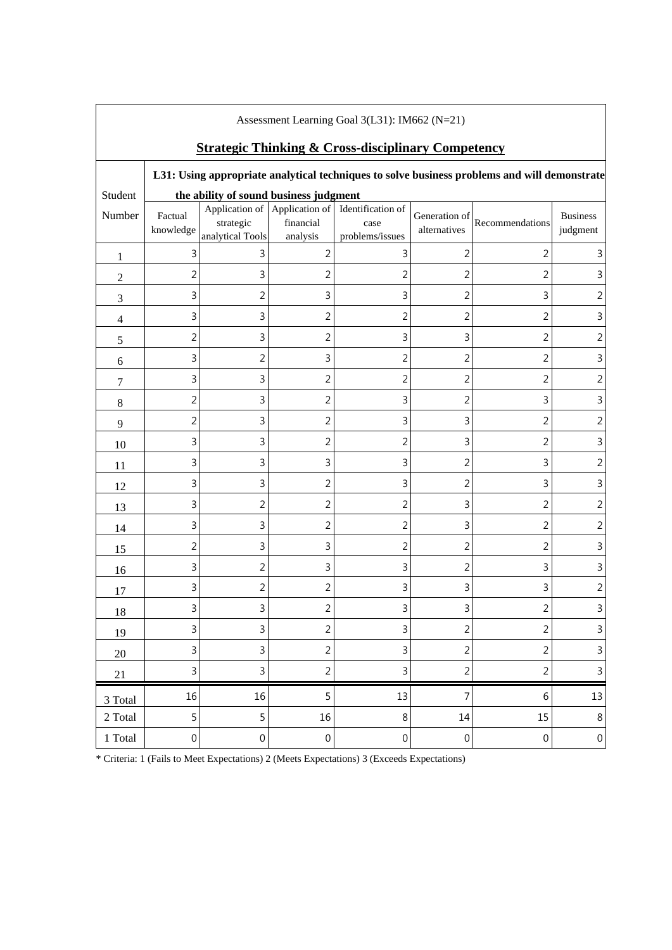| Assessment Learning Goal 3(L31): IM662 (N=21)                                                |                                        |                               |                       |                                                                            |                               |                 |                             |
|----------------------------------------------------------------------------------------------|----------------------------------------|-------------------------------|-----------------------|----------------------------------------------------------------------------|-------------------------------|-----------------|-----------------------------|
| <b>Strategic Thinking &amp; Cross-disciplinary Competency</b>                                |                                        |                               |                       |                                                                            |                               |                 |                             |
| L31: Using appropriate analytical techniques to solve business problems and will demonstrate |                                        |                               |                       |                                                                            |                               |                 |                             |
| Student                                                                                      | the ability of sound business judgment |                               |                       |                                                                            |                               |                 |                             |
| Number                                                                                       | Factual<br>knowledge                   | strategic<br>analytical Tools | financial<br>analysis | Application of Application of Identification of<br>case<br>problems/issues | Generation of<br>alternatives | Recommendations | <b>Business</b><br>judgment |
| 1                                                                                            | 3                                      | 3                             | $\overline{2}$        | 3                                                                          | $\overline{2}$                | 2               | 3                           |
| $\overline{2}$                                                                               | $\sqrt{2}$                             | $\mathsf 3$                   | $\overline{2}$        | 2                                                                          | $\overline{2}$                | 2               | 3                           |
| 3                                                                                            | $\mathsf 3$                            | $\overline{2}$                | 3                     | 3                                                                          | $\overline{2}$                | 3               | 2                           |
| $\overline{4}$                                                                               | 3                                      | 3                             | $\overline{2}$        | 2                                                                          | 2                             | 2               | 3                           |
| $\sqrt{5}$                                                                                   | $\overline{2}$                         | 3                             | $\overline{2}$        | 3                                                                          | 3                             | 2               | $\overline{2}$              |
| 6                                                                                            | 3                                      | $\overline{2}$                | 3                     | 2                                                                          | 2                             | $\overline{2}$  | 3                           |
| $\tau$                                                                                       | 3                                      | 3                             | $\sqrt{2}$            | 2                                                                          | $\overline{2}$                | $\overline{2}$  | $\overline{2}$              |
| 8                                                                                            | $\overline{2}$                         | $\mathsf 3$                   | $\overline{2}$        | 3                                                                          | $\overline{2}$                | $\mathbf{3}$    | 3                           |
| 9                                                                                            | $\overline{2}$                         | $\mathsf 3$                   | $\overline{2}$        | 3                                                                          | 3                             | $\overline{2}$  | $\overline{2}$              |
| 10                                                                                           | 3                                      | 3                             | $\overline{2}$        | 2                                                                          | 3                             | $\overline{c}$  | 3                           |
| 11                                                                                           | 3                                      | $\mathsf 3$                   | 3                     | 3                                                                          | $\overline{2}$                | $\mathbf{3}$    | 2                           |
| 12                                                                                           | $\mathbf{3}$                           | $\mathsf 3$                   | $\overline{2}$        | 3                                                                          | $\overline{2}$                | 3               | 3                           |
| 13                                                                                           | $\mathsf 3$                            | $\sqrt{2}$                    | $\overline{2}$        | $\overline{2}$                                                             | $\mathsf 3$                   | $\overline{2}$  | $\overline{2}$              |
| 14                                                                                           | 3                                      | 3                             | $\sqrt{2}$            | $\overline{2}$                                                             | 3                             | $\sqrt{2}$      | $\overline{2}$              |
| 15                                                                                           | $\overline{2}$                         | $\mathsf 3$                   | 3                     | 2                                                                          | $\overline{2}$                | $\overline{2}$  | 3                           |
| 16                                                                                           | 3                                      | $\overline{2}$                | 3                     | 3                                                                          | $\overline{2}$                | 3               | 3                           |
| 17                                                                                           | 3                                      | $\overline{2}$                | $\overline{2}$        | 3                                                                          | 3                             | 3               | $\overline{2}$              |
| 18                                                                                           | 3                                      | 3                             | $\sqrt{2}$            | 3                                                                          | 3                             | $\sqrt{2}$      | 3                           |
| 19                                                                                           | $\mathsf{3}$                           | $\mathsf 3$                   | $\sqrt{2}$            | $\mathsf 3$                                                                | $\overline{2}$                | $\sqrt{2}$      | $\mathsf 3$                 |
| 20                                                                                           | 3                                      | 3                             | $\sqrt{2}$            | 3                                                                          | $\overline{2}$                | $\overline{2}$  | $\mathsf{3}$                |
| 21                                                                                           | $\mathsf{3}$                           | $\mathsf{3}$                  | $\overline{2}$        | $\mathsf 3$                                                                | $\overline{2}$                | $\sqrt{2}$      | $\mathsf{3}$                |
| 3 Total                                                                                      | 16                                     | 16                            | 5                     | 13                                                                         | 7                             | 6               | 13                          |
| 2 Total                                                                                      | 5                                      | 5                             | 16                    | 8                                                                          | 14                            | 15              | $\,8\,$                     |
| 1 Total                                                                                      | $\boldsymbol{0}$                       | $\boldsymbol{0}$              | $\boldsymbol{0}$      | $\boldsymbol{0}$                                                           | $\mathbf 0$                   | $\mathbf 0$     | $\boldsymbol{0}$            |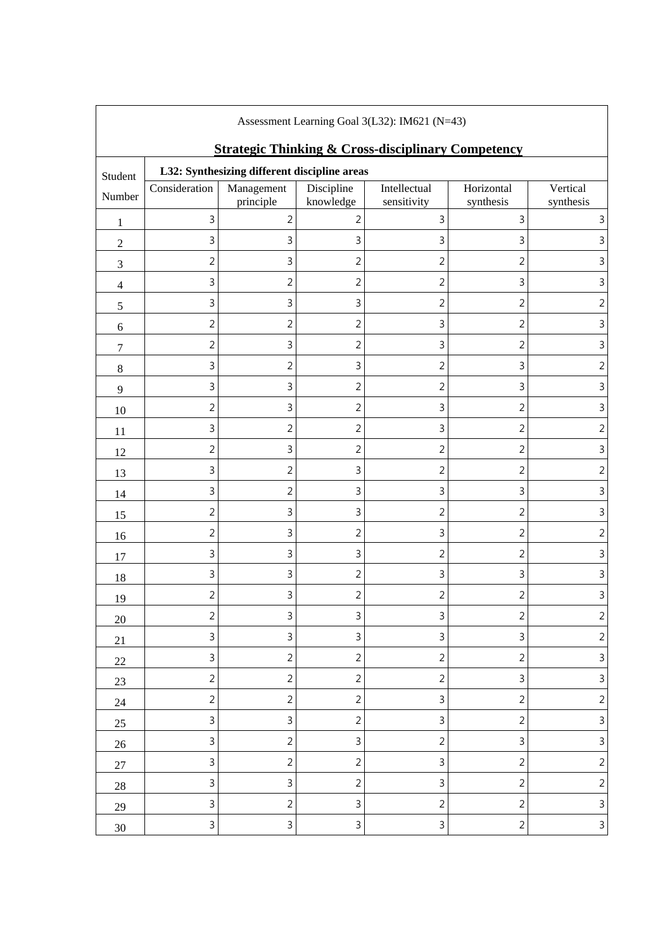| Assessment Learning Goal 3(L32): IM621 (N=43) |                                                                                                               |                |                |                |                |                |  |
|-----------------------------------------------|---------------------------------------------------------------------------------------------------------------|----------------|----------------|----------------|----------------|----------------|--|
|                                               | <b>Strategic Thinking &amp; Cross-disciplinary Competency</b><br>L32: Synthesizing different discipline areas |                |                |                |                |                |  |
| Student                                       | Consideration                                                                                                 | Management     | Discipline     | Intellectual   | Horizontal     | Vertical       |  |
| Number                                        |                                                                                                               | principle      | knowledge      | sensitivity    | synthesis      | synthesis      |  |
| 1                                             | 3                                                                                                             | $\overline{2}$ | 2              | $\mathsf 3$    | 3              | 3              |  |
| $\overline{2}$                                | 3                                                                                                             | $\mathsf 3$    | 3              | $\mathsf 3$    | 3              | 3              |  |
| 3                                             | 2                                                                                                             | 3              | $\overline{c}$ | $\overline{c}$ | 2              | 3              |  |
| $\overline{4}$                                | 3                                                                                                             | $\overline{c}$ | $\overline{c}$ | $\overline{2}$ | 3              | 3              |  |
| 5                                             | 3                                                                                                             | 3              | 3              | $\overline{c}$ | $\overline{2}$ | $\overline{2}$ |  |
| 6                                             | $\overline{2}$                                                                                                | $\overline{c}$ | $\overline{c}$ | $\mathsf 3$    | 2              | $\mathsf 3$    |  |
| $\tau$                                        | $\overline{2}$                                                                                                | $\mathsf 3$    | $\overline{c}$ | $\mathsf 3$    | $\overline{2}$ | $\mathsf 3$    |  |
| $8\,$                                         | 3                                                                                                             | $\overline{c}$ | 3              | $\overline{c}$ | 3              | $\overline{2}$ |  |
| 9                                             | 3                                                                                                             | 3              | $\overline{2}$ | $\overline{2}$ | 3              | $\mathsf{3}$   |  |
| 10                                            | $\overline{2}$                                                                                                | 3              | $\overline{c}$ | 3              | $\overline{2}$ | $\mathsf 3$    |  |
| 11                                            | 3                                                                                                             | $\overline{c}$ | $\overline{c}$ | $\mathsf{3}$   | $\overline{2}$ | $\overline{2}$ |  |
| 12                                            | 2                                                                                                             | 3              | $\overline{c}$ | $\overline{2}$ | $\overline{2}$ | 3              |  |
| 13                                            | 3                                                                                                             | $\overline{c}$ | 3              | $\overline{2}$ | $\overline{2}$ | $\overline{2}$ |  |
| 14                                            | 3                                                                                                             | $\overline{c}$ | 3              | $\mathsf 3$    | 3              | 3              |  |
| 15                                            | 2                                                                                                             | 3              | 3              | $\overline{2}$ | 2              | 3              |  |
| 16                                            | 2                                                                                                             | 3              | $\overline{c}$ | 3              | 2              | 2              |  |
| 17                                            | 3                                                                                                             | 3              | 3              | $\overline{2}$ | 2              | 3              |  |
| 18                                            | 3                                                                                                             | 3              | $\overline{2}$ | $\mathsf 3$    | 3              | $\mathsf 3$    |  |
| 19                                            | $\overline{2}$                                                                                                | $\mathsf 3$    | $\overline{c}$ | $\overline{2}$ | $\overline{2}$ | 3              |  |
| $20\,$                                        | $\sqrt{2}$                                                                                                    | $\mathsf{3}$   | 3              | $\mathsf 3$    | $\sqrt{2}$     | $\overline{c}$ |  |
| 21                                            | $\mathsf{3}$                                                                                                  | $\mathsf{3}$   | 3              | $\mathsf 3$    | 3              | $\overline{c}$ |  |
| $22\,$                                        | 3                                                                                                             | $\overline{2}$ | $\overline{2}$ | $\overline{2}$ | $\overline{2}$ | $\mathsf{3}$   |  |
| $23\,$                                        | $\overline{2}$                                                                                                | $\overline{2}$ | $\overline{2}$ | $\sqrt{2}$     | 3              | $\mathsf{3}$   |  |
| 24                                            | $\overline{2}$                                                                                                | $\overline{2}$ | $\overline{c}$ | $\mathbf{3}$   | $\overline{2}$ | $\overline{c}$ |  |
| 25                                            | 3                                                                                                             | $\mathsf{3}$   | $\overline{2}$ | $\mathsf 3$    | $\overline{2}$ | $\mathsf{3}$   |  |
| $26\,$                                        | 3                                                                                                             | $\overline{2}$ | 3              | $\sqrt{2}$     | 3              | $\mathsf{3}$   |  |
| $27\,$                                        | 3                                                                                                             | $\overline{2}$ | $\overline{2}$ | $\mathsf 3$    | $\overline{2}$ | $\sqrt{2}$     |  |
| $28\,$                                        | 3                                                                                                             | $\overline{3}$ | $\overline{2}$ | 3              | $\overline{2}$ | $\overline{c}$ |  |
| 29                                            | 3                                                                                                             | $\overline{2}$ | 3              | $\overline{2}$ | $\overline{2}$ | $\mathsf{3}$   |  |
| $30\,$                                        | $\mathsf{3}$                                                                                                  | $\mathsf{3}$   | 3              | $\mathsf 3$    | $\overline{2}$ | $\mathsf{3}$   |  |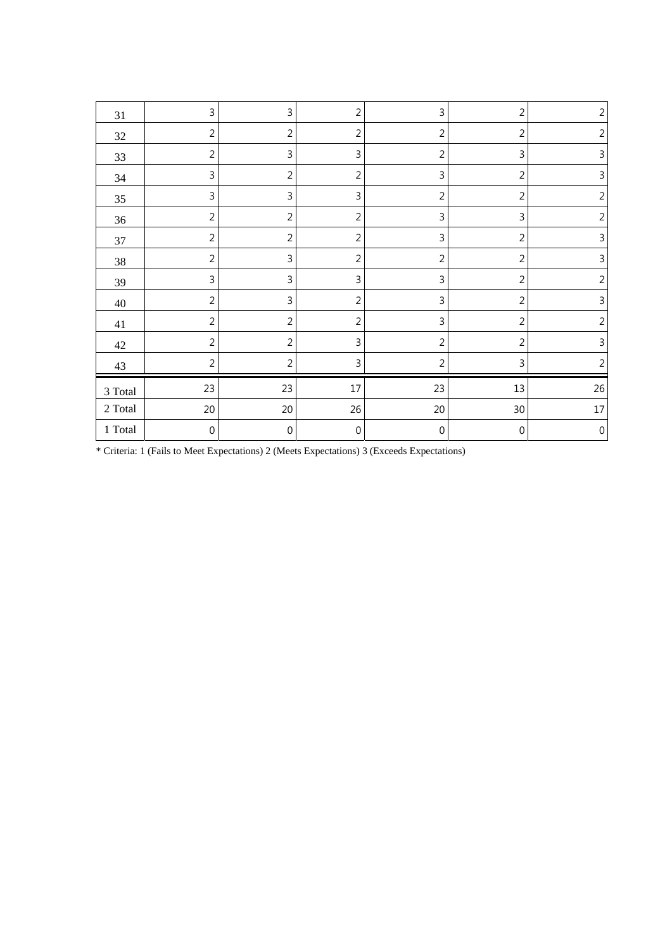| 31             | 3                | $\mathsf{3}$     | $\overline{2}$ | 3                | $\overline{2}$   | $\overline{2}$   |
|----------------|------------------|------------------|----------------|------------------|------------------|------------------|
| 32             | $\overline{2}$   | $\overline{c}$   | $\overline{2}$ | $\overline{2}$   | $\overline{2}$   | $\overline{2}$   |
| 33             | $\overline{2}$   | $\mathsf{3}$     | 3              | $\overline{2}$   | 3                | 3                |
| 34             | 3                | $\overline{c}$   | $\overline{2}$ | 3                | $\overline{2}$   | 3                |
| 35             | 3                | $\mathsf{3}$     | 3              | $\overline{2}$   | $\overline{2}$   | $\overline{2}$   |
| 36             | $\overline{2}$   | $\overline{c}$   | $\overline{2}$ | 3                | 3                | $\overline{2}$   |
| 37             | $\overline{2}$   | $\overline{c}$   | $\overline{c}$ | 3                | $\sqrt{2}$       | 3                |
| 38             | $\overline{2}$   | $\mathsf 3$      | $\overline{2}$ | $\overline{2}$   | $\overline{2}$   | $\mathsf 3$      |
| 39             | 3                | $\mathsf 3$      | 3              | 3                | $\overline{2}$   | $\sqrt{2}$       |
| 40             | $\overline{2}$   | $\mathsf 3$      | $\overline{2}$ | 3                | $\overline{2}$   | $\mathsf 3$      |
| 41             | $\overline{2}$   | $\overline{c}$   | $\overline{2}$ | 3                | $\overline{2}$   | $\overline{2}$   |
| 42             | $\overline{2}$   | $\overline{c}$   | 3              | $\overline{2}$   | $\overline{2}$   | $\mathbf{3}$     |
| 43             | $\overline{2}$   | $\overline{c}$   | 3              | $\overline{2}$   | 3                | $\overline{2}$   |
| $3$ Total $\,$ | 23               | 23               | 17             | 23               | $13\,$           | 26               |
| 2 Total        | 20               | 20               | 26             | 20               | 30               | $17\,$           |
| 1 Total        | $\boldsymbol{0}$ | $\boldsymbol{0}$ | $\,0\,$        | $\boldsymbol{0}$ | $\boldsymbol{0}$ | $\boldsymbol{0}$ |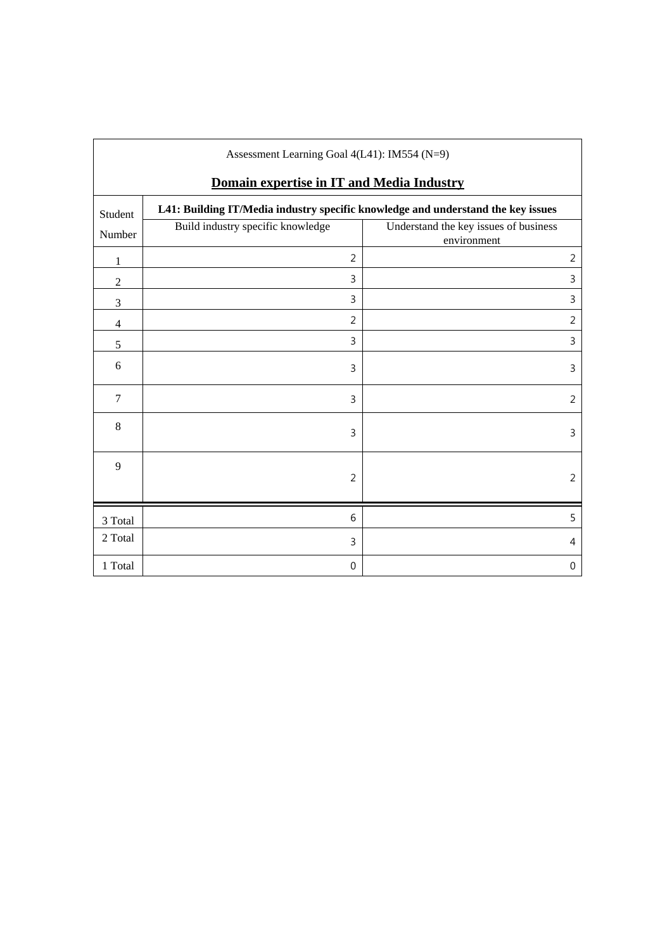| Assessment Learning Goal 4(L41): IM554 (N=9) |                                                                                  |                                                      |  |  |  |
|----------------------------------------------|----------------------------------------------------------------------------------|------------------------------------------------------|--|--|--|
| Domain expertise in IT and Media Industry    |                                                                                  |                                                      |  |  |  |
| Student                                      | L41: Building IT/Media industry specific knowledge and understand the key issues |                                                      |  |  |  |
| Number                                       | Build industry specific knowledge                                                | Understand the key issues of business<br>environment |  |  |  |
| 1                                            | $\overline{2}$                                                                   | $\overline{2}$                                       |  |  |  |
| $\overline{2}$                               | 3                                                                                | 3                                                    |  |  |  |
| 3                                            | 3                                                                                | 3                                                    |  |  |  |
| $\overline{4}$                               | $\overline{2}$                                                                   | $\overline{2}$                                       |  |  |  |
| $\sqrt{5}$                                   | 3                                                                                | 3                                                    |  |  |  |
| 6                                            | 3                                                                                | 3                                                    |  |  |  |
| $\tau$                                       | 3                                                                                | $\overline{2}$                                       |  |  |  |
| $\,8\,$                                      | 3                                                                                | 3                                                    |  |  |  |
| 9                                            | $\overline{2}$                                                                   | $\overline{2}$                                       |  |  |  |
| 3 Total                                      | 6                                                                                | 5                                                    |  |  |  |
| 2 Total                                      | 3                                                                                | 4                                                    |  |  |  |
| 1 Total                                      | $\boldsymbol{0}$                                                                 | 0                                                    |  |  |  |